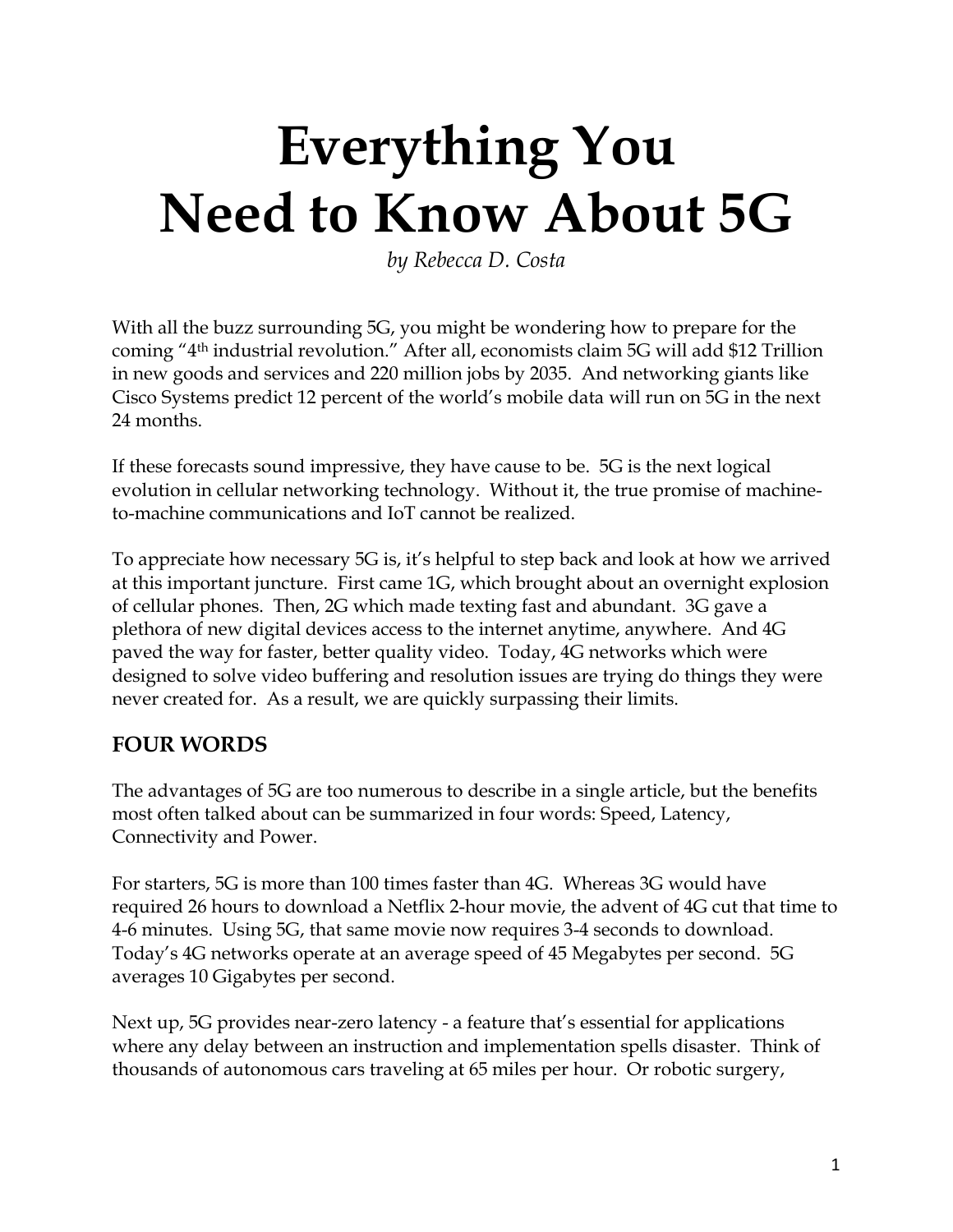# **Everything You Need to Know About 5G**

*by Rebecca D. Costa*

With all the buzz surrounding 5G, you might be wondering how to prepare for the coming "4th industrial revolution." After all, economists claim 5G will add \$12 Trillion in new goods and services and 220 million jobs by 2035. And networking giants like Cisco Systems predict 12 percent of the world's mobile data will run on 5G in the next 24 months.

If these forecasts sound impressive, they have cause to be. 5G is the next logical evolution in cellular networking technology. Without it, the true promise of machineto-machine communications and IoT cannot be realized.

To appreciate how necessary 5G is, it's helpful to step back and look at how we arrived at this important juncture. First came 1G, which brought about an overnight explosion of cellular phones. Then, 2G which made texting fast and abundant. 3G gave a plethora of new digital devices access to the internet anytime, anywhere. And 4G paved the way for faster, better quality video. Today, 4G networks which were designed to solve video buffering and resolution issues are trying do things they were never created for. As a result, we are quickly surpassing their limits.

#### **FOUR WORDS**

The advantages of 5G are too numerous to describe in a single article, but the benefits most often talked about can be summarized in four words: Speed, Latency, Connectivity and Power.

For starters, 5G is more than 100 times faster than 4G. Whereas 3G would have required 26 hours to download a Netflix 2-hour movie, the advent of 4G cut that time to 4-6 minutes. Using 5G, that same movie now requires 3-4 seconds to download. Today's 4G networks operate at an average speed of 45 Megabytes per second. 5G averages 10 Gigabytes per second.

Next up, 5G provides near-zero latency - a feature that's essential for applications where any delay between an instruction and implementation spells disaster. Think of thousands of autonomous cars traveling at 65 miles per hour. Or robotic surgery,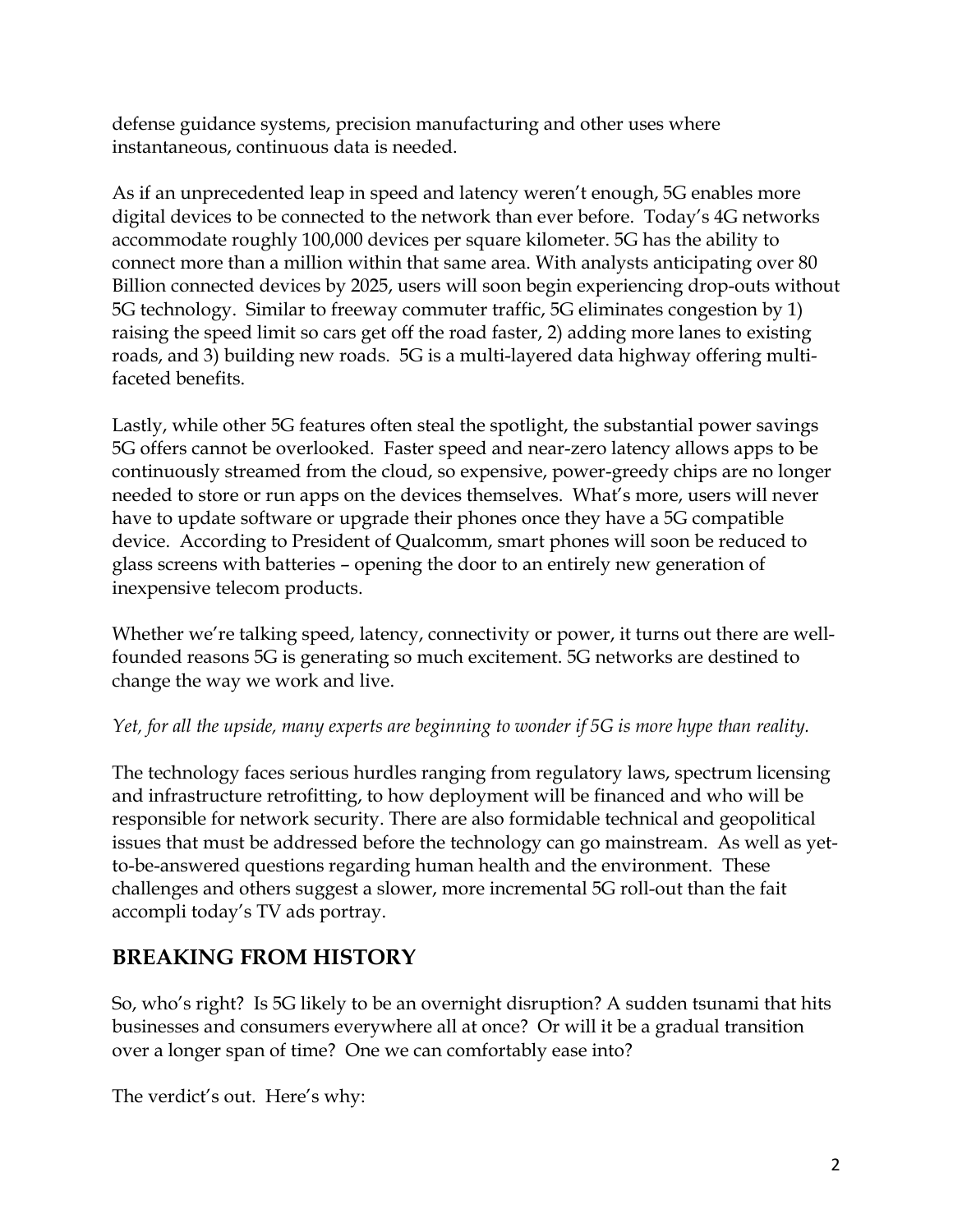defense guidance systems, precision manufacturing and other uses where instantaneous, continuous data is needed.

As if an unprecedented leap in speed and latency weren't enough, 5G enables more digital devices to be connected to the network than ever before. Today's 4G networks accommodate roughly 100,000 devices per square kilometer. 5G has the ability to connect more than a million within that same area. With analysts anticipating over 80 Billion connected devices by 2025, users will soon begin experiencing drop-outs without 5G technology. Similar to freeway commuter traffic, 5G eliminates congestion by 1) raising the speed limit so cars get off the road faster, 2) adding more lanes to existing roads, and 3) building new roads. 5G is a multi-layered data highway offering multifaceted benefits.

Lastly, while other 5G features often steal the spotlight, the substantial power savings 5G offers cannot be overlooked. Faster speed and near-zero latency allows apps to be continuously streamed from the cloud, so expensive, power-greedy chips are no longer needed to store or run apps on the devices themselves. What's more, users will never have to update software or upgrade their phones once they have a 5G compatible device. According to President of Qualcomm, smart phones will soon be reduced to glass screens with batteries – opening the door to an entirely new generation of inexpensive telecom products.

Whether we're talking speed, latency, connectivity or power, it turns out there are wellfounded reasons 5G is generating so much excitement. 5G networks are destined to change the way we work and live.

#### *Yet, for all the upside, many experts are beginning to wonder if 5G is more hype than reality.*

The technology faces serious hurdles ranging from regulatory laws, spectrum licensing and infrastructure retrofitting, to how deployment will be financed and who will be responsible for network security. There are also formidable technical and geopolitical issues that must be addressed before the technology can go mainstream. As well as yetto-be-answered questions regarding human health and the environment. These challenges and others suggest a slower, more incremental 5G roll-out than the fait accompli today's TV ads portray.

### **BREAKING FROM HISTORY**

So, who's right? Is 5G likely to be an overnight disruption? A sudden tsunami that hits businesses and consumers everywhere all at once? Or will it be a gradual transition over a longer span of time? One we can comfortably ease into?

The verdict's out. Here's why: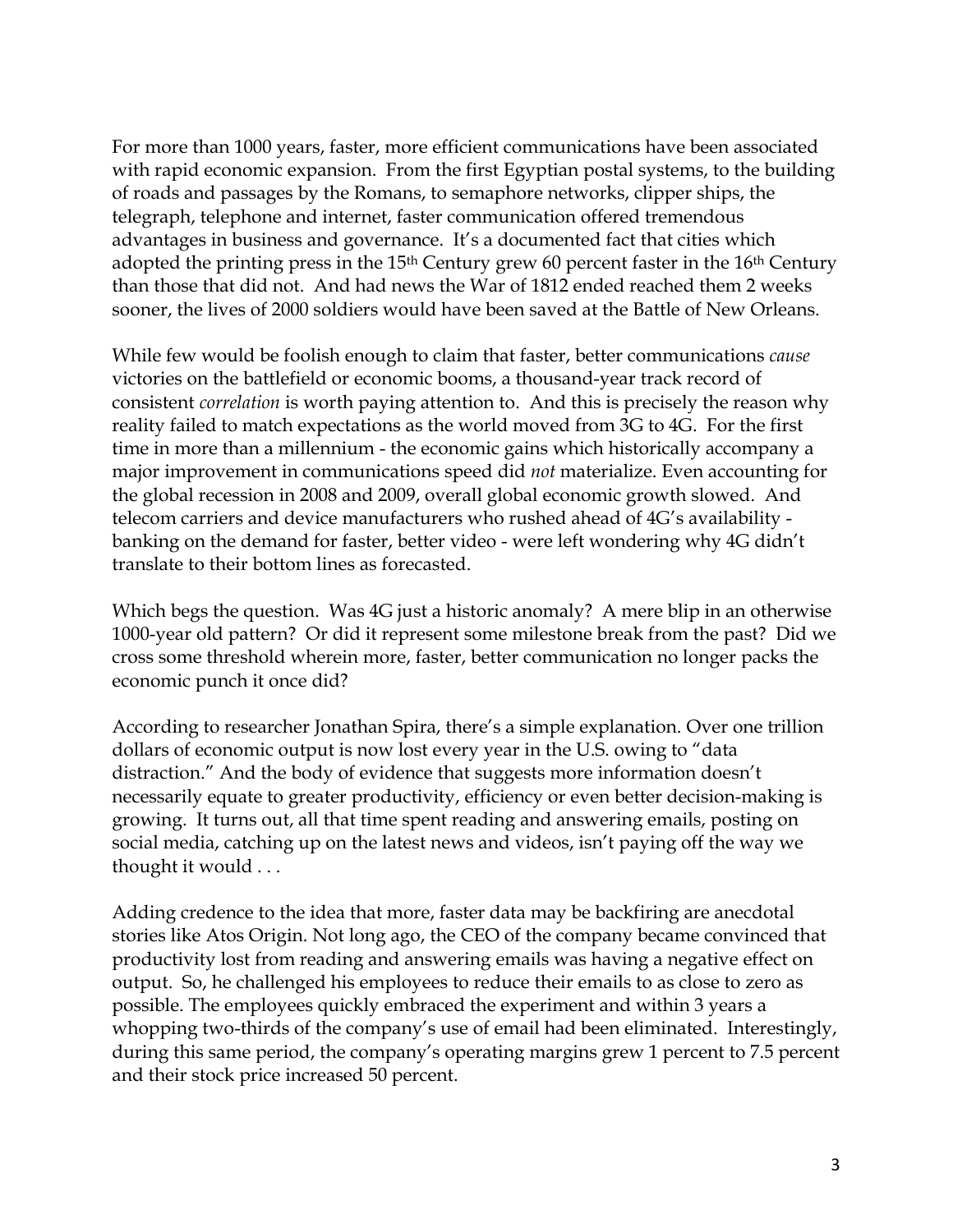For more than 1000 years, faster, more efficient communications have been associated with rapid economic expansion. From the first Egyptian postal systems, to the building of roads and passages by the Romans, to semaphore networks, clipper ships, the telegraph, telephone and internet, faster communication offered tremendous advantages in business and governance. It's a documented fact that cities which adopted the printing press in the  $15<sup>th</sup>$  Century grew 60 percent faster in the  $16<sup>th</sup>$  Century than those that did not. And had news the War of 1812 ended reached them 2 weeks sooner, the lives of 2000 soldiers would have been saved at the Battle of New Orleans.

While few would be foolish enough to claim that faster, better communications *cause* victories on the battlefield or economic booms, a thousand-year track record of consistent *correlation* is worth paying attention to. And this is precisely the reason why reality failed to match expectations as the world moved from 3G to 4G. For the first time in more than a millennium - the economic gains which historically accompany a major improvement in communications speed did *not* materialize. Even accounting for the global recession in 2008 and 2009, overall global economic growth slowed. And telecom carriers and device manufacturers who rushed ahead of 4G's availability banking on the demand for faster, better video - were left wondering why 4G didn't translate to their bottom lines as forecasted.

Which begs the question. Was 4G just a historic anomaly? A mere blip in an otherwise 1000-year old pattern? Or did it represent some milestone break from the past? Did we cross some threshold wherein more, faster, better communication no longer packs the economic punch it once did?

According to researcher Jonathan Spira, there's a simple explanation. Over one trillion dollars of economic output is now lost every year in the U.S. owing to "data distraction." And the body of evidence that suggests more information doesn't necessarily equate to greater productivity, efficiency or even better decision-making is growing. It turns out, all that time spent reading and answering emails, posting on social media, catching up on the latest news and videos, isn't paying off the way we thought it would . . .

Adding credence to the idea that more, faster data may be backfiring are anecdotal stories like Atos Origin. Not long ago, the CEO of the company became convinced that productivity lost from reading and answering emails was having a negative effect on output. So, he challenged his employees to reduce their emails to as close to zero as possible. The employees quickly embraced the experiment and within 3 years a whopping two-thirds of the company's use of email had been eliminated. Interestingly, during this same period, the company's operating margins grew 1 percent to 7.5 percent and their stock price increased 50 percent.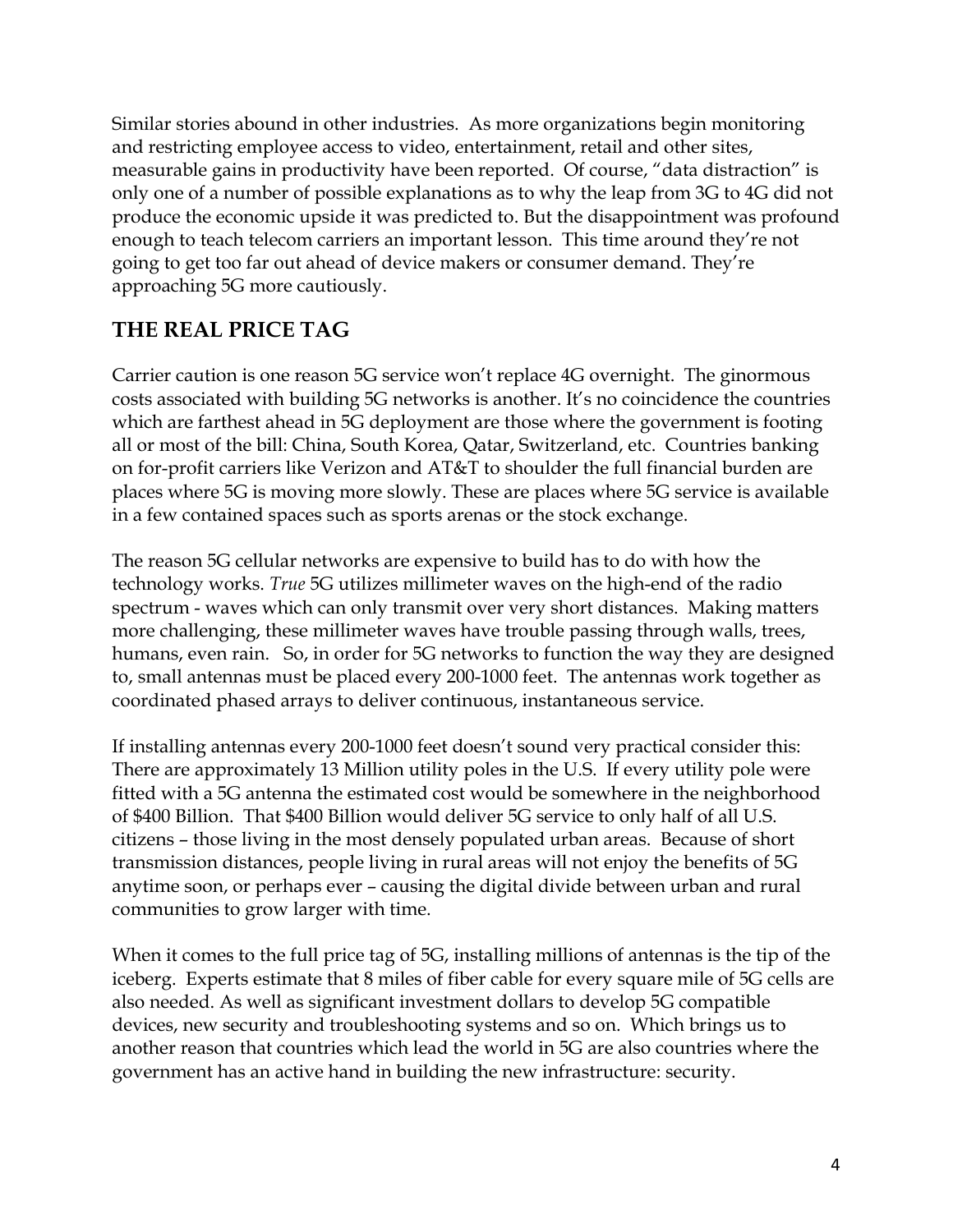Similar stories abound in other industries. As more organizations begin monitoring and restricting employee access to video, entertainment, retail and other sites, measurable gains in productivity have been reported. Of course, "data distraction" is only one of a number of possible explanations as to why the leap from 3G to 4G did not produce the economic upside it was predicted to. But the disappointment was profound enough to teach telecom carriers an important lesson. This time around they're not going to get too far out ahead of device makers or consumer demand. They're approaching 5G more cautiously.

## **THE REAL PRICE TAG**

Carrier caution is one reason 5G service won't replace 4G overnight. The ginormous costs associated with building 5G networks is another. It's no coincidence the countries which are farthest ahead in 5G deployment are those where the government is footing all or most of the bill: China, South Korea, Qatar, Switzerland, etc. Countries banking on for-profit carriers like Verizon and AT&T to shoulder the full financial burden are places where 5G is moving more slowly. These are places where 5G service is available in a few contained spaces such as sports arenas or the stock exchange.

The reason 5G cellular networks are expensive to build has to do with how the technology works. *True* 5G utilizes millimeter waves on the high-end of the radio spectrum - waves which can only transmit over very short distances. Making matters more challenging, these millimeter waves have trouble passing through walls, trees, humans, even rain. So, in order for 5G networks to function the way they are designed to, small antennas must be placed every 200-1000 feet. The antennas work together as coordinated phased arrays to deliver continuous, instantaneous service.

If installing antennas every 200-1000 feet doesn't sound very practical consider this: There are approximately 13 Million utility poles in the U.S. If every utility pole were fitted with a 5G antenna the estimated cost would be somewhere in the neighborhood of \$400 Billion. That \$400 Billion would deliver 5G service to only half of all U.S. citizens – those living in the most densely populated urban areas. Because of short transmission distances, people living in rural areas will not enjoy the benefits of 5G anytime soon, or perhaps ever – causing the digital divide between urban and rural communities to grow larger with time.

When it comes to the full price tag of 5G, installing millions of antennas is the tip of the iceberg. Experts estimate that 8 miles of fiber cable for every square mile of 5G cells are also needed. As well as significant investment dollars to develop 5G compatible devices, new security and troubleshooting systems and so on. Which brings us to another reason that countries which lead the world in 5G are also countries where the government has an active hand in building the new infrastructure: security.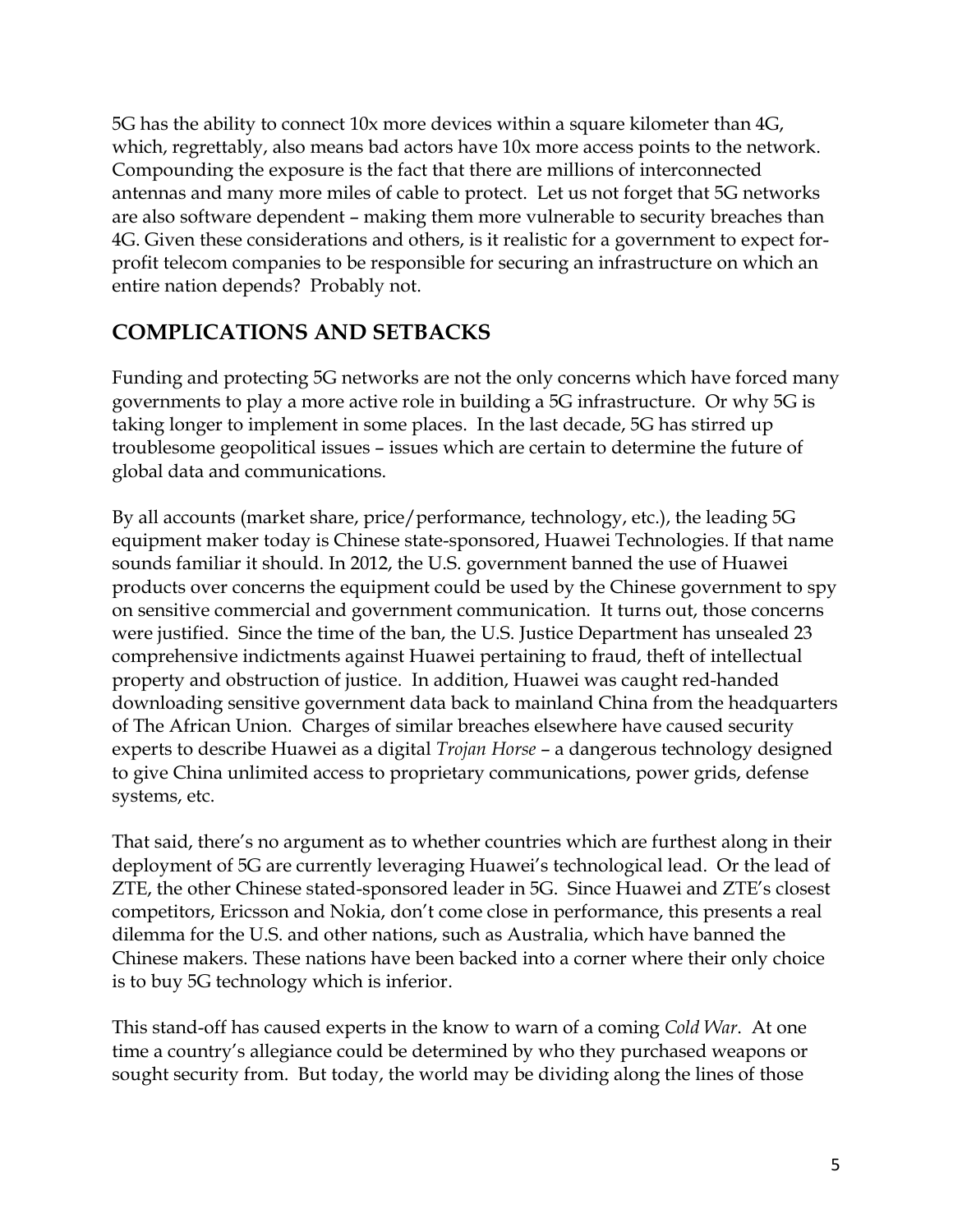5G has the ability to connect 10x more devices within a square kilometer than 4G, which, regrettably, also means bad actors have 10x more access points to the network. Compounding the exposure is the fact that there are millions of interconnected antennas and many more miles of cable to protect. Let us not forget that 5G networks are also software dependent – making them more vulnerable to security breaches than 4G. Given these considerations and others, is it realistic for a government to expect forprofit telecom companies to be responsible for securing an infrastructure on which an entire nation depends? Probably not.

# **COMPLICATIONS AND SETBACKS**

Funding and protecting 5G networks are not the only concerns which have forced many governments to play a more active role in building a 5G infrastructure. Or why 5G is taking longer to implement in some places. In the last decade, 5G has stirred up troublesome geopolitical issues – issues which are certain to determine the future of global data and communications.

By all accounts (market share, price/performance, technology, etc.), the leading 5G equipment maker today is Chinese state-sponsored, Huawei Technologies. If that name sounds familiar it should. In 2012, the U.S. government banned the use of Huawei products over concerns the equipment could be used by the Chinese government to spy on sensitive commercial and government communication. It turns out, those concerns were justified. Since the time of the ban, the U.S. Justice Department has unsealed 23 comprehensive indictments against Huawei pertaining to fraud, theft of intellectual property and obstruction of justice. In addition, Huawei was caught red-handed downloading sensitive government data back to mainland China from the headquarters of The African Union. Charges of similar breaches elsewhere have caused security experts to describe Huawei as a digital *Trojan Horse* – a dangerous technology designed to give China unlimited access to proprietary communications, power grids, defense systems, etc.

That said, there's no argument as to whether countries which are furthest along in their deployment of 5G are currently leveraging Huawei's technological lead. Or the lead of ZTE, the other Chinese stated-sponsored leader in 5G. Since Huawei and ZTE's closest competitors, Ericsson and Nokia, don't come close in performance, this presents a real dilemma for the U.S. and other nations, such as Australia, which have banned the Chinese makers. These nations have been backed into a corner where their only choice is to buy 5G technology which is inferior.

This stand-off has caused experts in the know to warn of a coming *Cold War*. At one time a country's allegiance could be determined by who they purchased weapons or sought security from. But today, the world may be dividing along the lines of those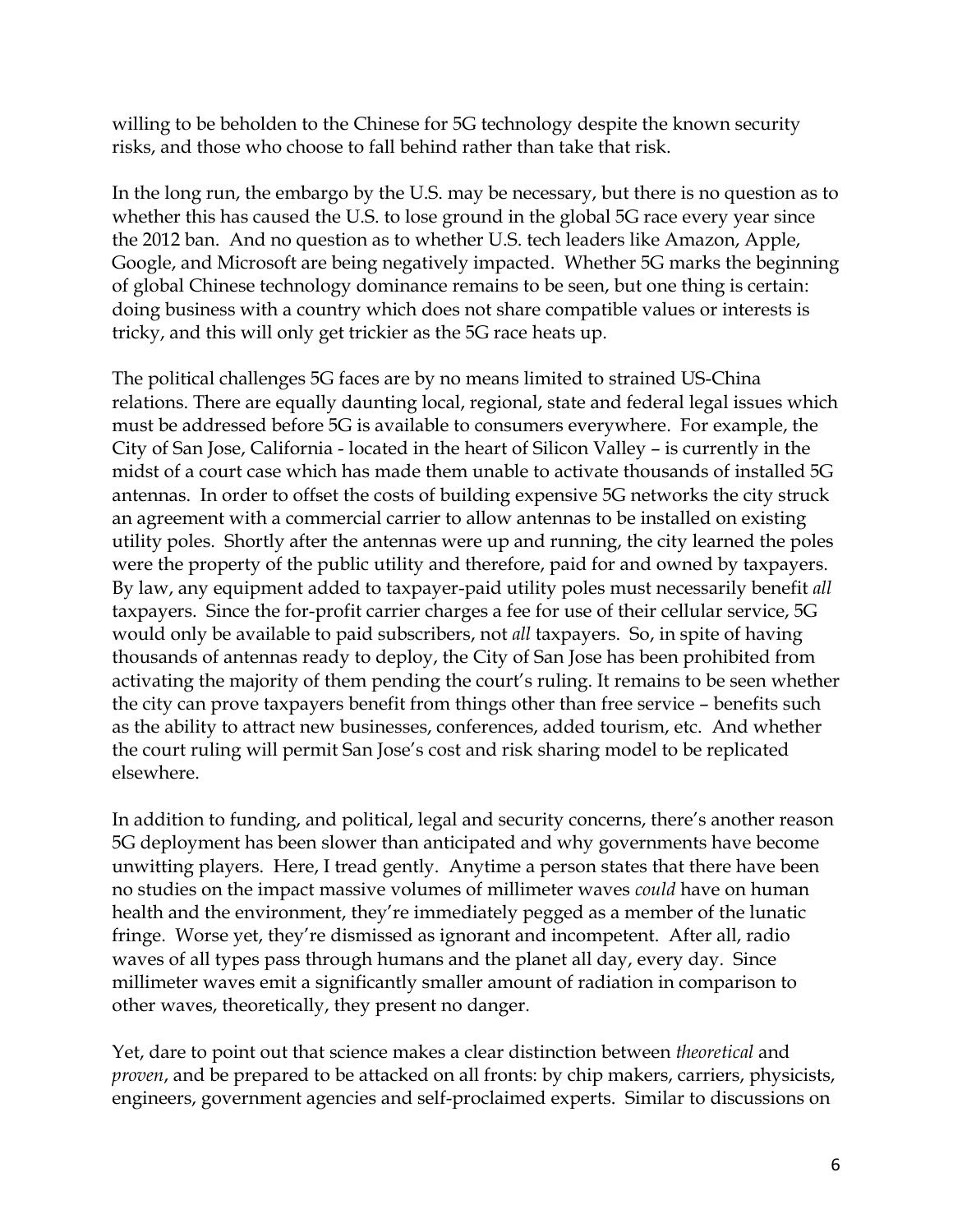willing to be beholden to the Chinese for 5G technology despite the known security risks, and those who choose to fall behind rather than take that risk.

In the long run, the embargo by the U.S. may be necessary, but there is no question as to whether this has caused the U.S. to lose ground in the global 5G race every year since the 2012 ban. And no question as to whether U.S. tech leaders like Amazon, Apple, Google, and Microsoft are being negatively impacted. Whether 5G marks the beginning of global Chinese technology dominance remains to be seen, but one thing is certain: doing business with a country which does not share compatible values or interests is tricky, and this will only get trickier as the 5G race heats up.

The political challenges 5G faces are by no means limited to strained US-China relations. There are equally daunting local, regional, state and federal legal issues which must be addressed before 5G is available to consumers everywhere. For example, the City of San Jose, California - located in the heart of Silicon Valley – is currently in the midst of a court case which has made them unable to activate thousands of installed 5G antennas. In order to offset the costs of building expensive 5G networks the city struck an agreement with a commercial carrier to allow antennas to be installed on existing utility poles. Shortly after the antennas were up and running, the city learned the poles were the property of the public utility and therefore, paid for and owned by taxpayers. By law, any equipment added to taxpayer-paid utility poles must necessarily benefit *all* taxpayers. Since the for-profit carrier charges a fee for use of their cellular service, 5G would only be available to paid subscribers, not *all* taxpayers. So, in spite of having thousands of antennas ready to deploy, the City of San Jose has been prohibited from activating the majority of them pending the court's ruling. It remains to be seen whether the city can prove taxpayers benefit from things other than free service – benefits such as the ability to attract new businesses, conferences, added tourism, etc. And whether the court ruling will permit San Jose's cost and risk sharing model to be replicated elsewhere.

In addition to funding, and political, legal and security concerns, there's another reason 5G deployment has been slower than anticipated and why governments have become unwitting players. Here, I tread gently. Anytime a person states that there have been no studies on the impact massive volumes of millimeter waves *could* have on human health and the environment, they're immediately pegged as a member of the lunatic fringe. Worse yet, they're dismissed as ignorant and incompetent. After all, radio waves of all types pass through humans and the planet all day, every day. Since millimeter waves emit a significantly smaller amount of radiation in comparison to other waves, theoretically, they present no danger.

Yet, dare to point out that science makes a clear distinction between *theoretical* and *proven*, and be prepared to be attacked on all fronts: by chip makers, carriers, physicists, engineers, government agencies and self-proclaimed experts. Similar to discussions on